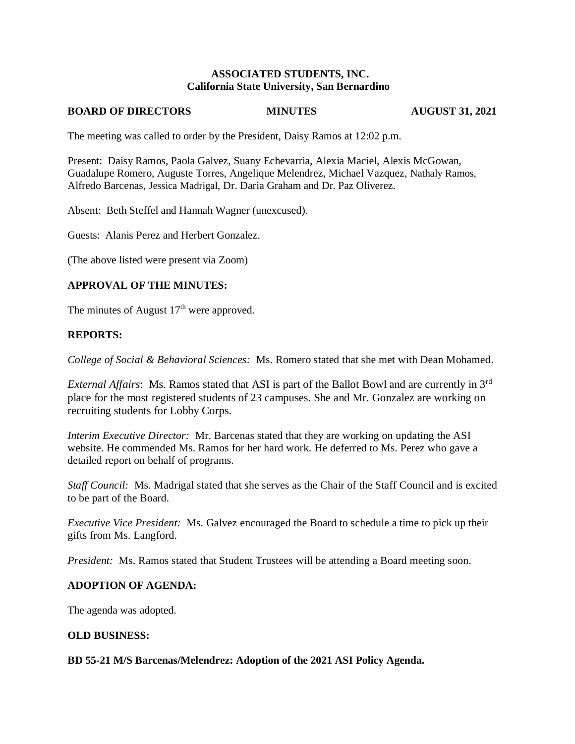## **ASSOCIATED STUDENTS, INC. California State University, San Bernardino**

#### **BOARD OF DIRECTORS MINUTES AUGUST 31, 2021**

The meeting was called to order by the President, Daisy Ramos at 12:02 p.m.

Present: Daisy Ramos, Paola Galvez, Suany Echevarria, Alexia Maciel, Alexis McGowan, Guadalupe Romero, Auguste Torres, Angelique Melendrez, Michael Vazquez, Nathaly Ramos, Alfredo Barcenas, Jessica Madrigal, Dr. Daria Graham and Dr. Paz Oliverez.

Absent: Beth Steffel and Hannah Wagner (unexcused).

Guests: Alanis Perez and Herbert Gonzalez.

(The above listed were present via Zoom)

# **APPROVAL OF THE MINUTES:**

The minutes of August  $17<sup>th</sup>$  were approved.

## **REPORTS:**

*College of Social & Behavioral Sciences:* Ms. Romero stated that she met with Dean Mohamed.

*External Affairs*: Ms. Ramos stated that ASI is part of the Ballot Bowl and are currently in 3rd place for the most registered students of 23 campuses. She and Mr. Gonzalez are working on recruiting students for Lobby Corps.

*Interim Executive Director:* Mr. Barcenas stated that they are working on updating the ASI website. He commended Ms. Ramos for her hard work. He deferred to Ms. Perez who gave a detailed report on behalf of programs.

*Staff Council:* Ms. Madrigal stated that she serves as the Chair of the Staff Council and is excited to be part of the Board.

*Executive Vice President:* Ms. Galvez encouraged the Board to schedule a time to pick up their gifts from Ms. Langford.

*President:* Ms. Ramos stated that Student Trustees will be attending a Board meeting soon.

# **ADOPTION OF AGENDA:**

The agenda was adopted.

## **OLD BUSINESS:**

**BD 55-21 M/S Barcenas/Melendrez: Adoption of the 2021 ASI Policy Agenda.**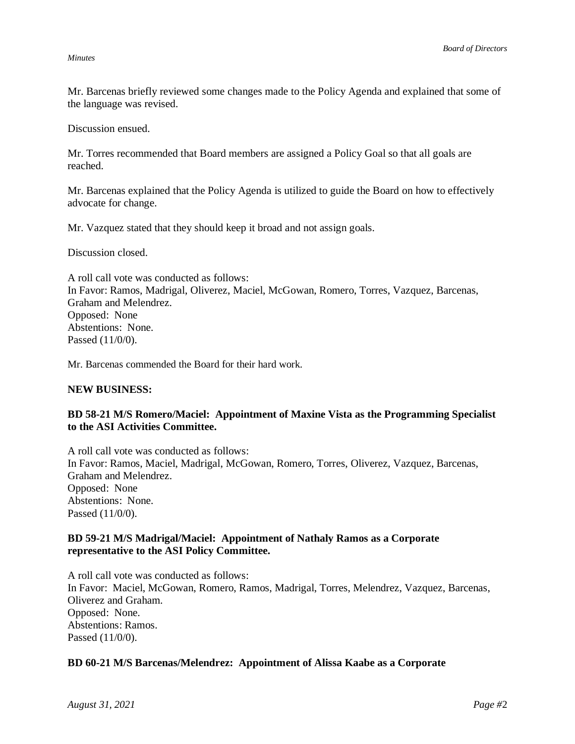#### *Minutes*

Mr. Barcenas briefly reviewed some changes made to the Policy Agenda and explained that some of the language was revised.

Discussion ensued.

Mr. Torres recommended that Board members are assigned a Policy Goal so that all goals are reached.

Mr. Barcenas explained that the Policy Agenda is utilized to guide the Board on how to effectively advocate for change.

Mr. Vazquez stated that they should keep it broad and not assign goals.

Discussion closed.

A roll call vote was conducted as follows: In Favor: Ramos, Madrigal, Oliverez, Maciel, McGowan, Romero, Torres, Vazquez, Barcenas, Graham and Melendrez. Opposed: None Abstentions: None. Passed (11/0/0).

Mr. Barcenas commended the Board for their hard work.

### **NEW BUSINESS:**

## **BD 58-21 M/S Romero/Maciel: Appointment of Maxine Vista as the Programming Specialist to the ASI Activities Committee.**

A roll call vote was conducted as follows: In Favor: Ramos, Maciel, Madrigal, McGowan, Romero, Torres, Oliverez, Vazquez, Barcenas, Graham and Melendrez. Opposed: None Abstentions: None. Passed (11/0/0).

# **BD 59-21 M/S Madrigal/Maciel: Appointment of Nathaly Ramos as a Corporate representative to the ASI Policy Committee.**

A roll call vote was conducted as follows: In Favor: Maciel, McGowan, Romero, Ramos, Madrigal, Torres, Melendrez, Vazquez, Barcenas, Oliverez and Graham. Opposed: None. Abstentions: Ramos. Passed (11/0/0).

### **BD 60-21 M/S Barcenas/Melendrez: Appointment of Alissa Kaabe as a Corporate**